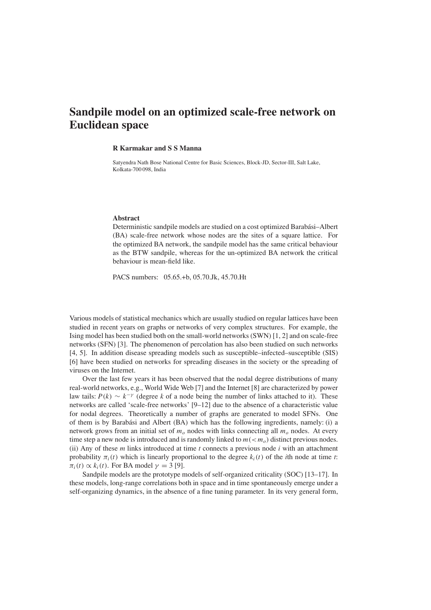## **Sandpile model on an optimized scale-free network on Euclidean space**

## **R Karmakar and S S Manna**

Satyendra Nath Bose National Centre for Basic Sciences, Block-JD, Sector-III, Salt Lake, Kolkata-700 098, India

## **Abstract**

Deterministic sandpile models are studied on a cost optimized Barabási–Albert (BA) scale-free network whose nodes are the sites of a square lattice. For the optimized BA network, the sandpile model has the same critical behaviour as the BTW sandpile, whereas for the un-optimized BA network the critical behaviour is mean-field like.

PACS numbers: 05.65.+b, 05.70.Jk, 45.70.Ht

Various models of statistical mechanics which are usually studied on regular lattices have been studied in recent years on graphs or networks of very complex structures. For example, the Ising model has been studied both on the small-world networks (SWN) [1, 2] and on scale-free networks (SFN) [3]. The phenomenon of percolation has also been studied on such networks [4, 5]. In addition disease spreading models such as susceptible–infected–susceptible (SIS) [6] have been studied on networks for spreading diseases in the society or the spreading of viruses on the Internet.

Over the last few years it has been observed that the nodal degree distributions of many real-world networks, e.g., World Wide Web [7] and the Internet [8] are characterized by power law tails:  $P(k) \sim k^{-\gamma}$  (degree k of a node being the number of links attached to it). These networks are called 'scale-free networks' [9–12] due to the absence of a characteristic value for nodal degrees. Theoretically a number of graphs are generated to model SFNs. One of them is by Barabási and Albert (BA) which has the following ingredients, namely: (i) a network grows from an initial set of  $m<sub>o</sub>$  nodes with links connecting all  $m<sub>o</sub>$  nodes. At every time step a new node is introduced and is randomly linked to  $m(< m<sub>o</sub>)$  distinct previous nodes. (ii) Any of these *m* links introduced at time *t* connects a previous node *i* with an attachment probability  $\pi_i(t)$  which is linearly proportional to the degree  $k_i(t)$  of the *i*th node at time *t*:  $\pi_i(t) \propto k_i(t)$ . For BA model  $\gamma = 3$  [9].

Sandpile models are the prototype models of self-organized criticality (SOC) [13–17]. In these models, long-range correlations both in space and in time spontaneously emerge under a self-organizing dynamics, in the absence of a fine tuning parameter. In its very general form,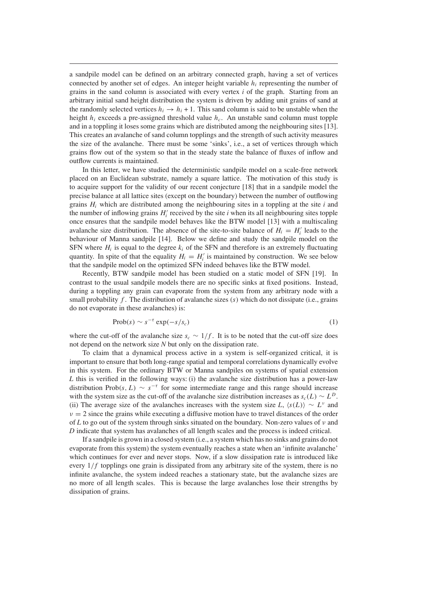a sandpile model can be defined on an arbitrary connected graph, having a set of vertices connected by another set of edges. An integer height variable *hi* representing the number of grains in the sand column is associated with every vertex *i* of the graph. Starting from an arbitrary initial sand height distribution the system is driven by adding unit grains of sand at the randomly selected vertices  $h_i \rightarrow h_i + 1$ . This sand column is said to be unstable when the height  $h_i$  exceeds a pre-assigned threshold value  $h_c$ . An unstable sand column must topple and in a toppling it loses some grains which are distributed among the neighbouring sites [13]. This creates an avalanche of sand column topplings and the strength of such activity measures the size of the avalanche. There must be some 'sinks', i.e., a set of vertices through which grains flow out of the system so that in the steady state the balance of fluxes of inflow and outflow currents is maintained.

In this letter, we have studied the deterministic sandpile model on a scale-free network placed on an Euclidean substrate, namely a square lattice. The motivation of this study is to acquire support for the validity of our recent conjecture [18] that in a sandpile model the precise balance at all lattice sites (except on the boundary) between the number of outflowing grains  $H_i$  which are distributed among the neighbouring sites in a toppling at the site  $i$  and the number of inflowing grains  $H_i'$  received by the site  $i$  when its all neighbouring sites topple once ensures that the sandpile model behaves like the BTW model [13] with a multiscaling avalanche size distribution. The absence of the site-to-site balance of  $H_i = H'_i$  leads to the behaviour of Manna sandpile [14]. Below we define and study the sandpile model on the SFN where  $H_i$  is equal to the degree  $k_i$  of the SFN and therefore is an extremely fluctuating quantity. In spite of that the equality  $H_i = H'_i$  is maintained by construction. We see below that the sandpile model on the optimized SFN indeed behaves like the BTW model.

Recently, BTW sandpile model has been studied on a static model of SFN [19]. In contrast to the usual sandpile models there are no specific sinks at fixed positions. Instead, during a toppling any grain can evaporate from the system from any arbitrary node with a small probability *f* . The distribution of avalanche sizes *(s)* which do not dissipate (i.e., grains do not evaporate in these avalanches) is:

$$
\text{Prob}(s) \sim s^{-\tau} \exp(-s/s_c) \tag{1}
$$

where the cut-off of the avalanche size  $s_c \sim 1/f$ . It is to be noted that the cut-off size does not depend on the network size *N* but only on the dissipation rate.

To claim that a dynamical process active in a system is self-organized critical, it is important to ensure that both long-range spatial and temporal correlations dynamically evolve in this system. For the ordinary BTW or Manna sandpiles on systems of spatial extension *L* this is verified in the following ways: (i) the avalanche size distribution has a power-law distribution Prob(s, L)  $\sim s^{-\tau}$  for some intermediate range and this range should increase with the system size as the cut-off of the avalanche size distribution increases as  $s_c(L) \sim L^D$ . (ii) The average size of the avalanches increases with the system size *L*,  $\langle s(L) \rangle \sim L^{\nu}$  and  $\nu = 2$  since the grains while executing a diffusive motion have to travel distances of the order of *L* to go out of the system through sinks situated on the boundary. Non-zero values of *ν* and *D* indicate that system has avalanches of all length scales and the process is indeed critical.

If a sandpile is grown in a closed system (i.e., a system which has no sinks and grains do not evaporate from this system) the system eventually reaches a state when an 'infinite avalanche' which continues for ever and never stops. Now, if a slow dissipation rate is introduced like every  $1/f$  topplings one grain is dissipated from any arbitrary site of the system, there is no infinite avalanche, the system indeed reaches a stationary state, but the avalanche sizes are no more of all length scales. This is because the large avalanches lose their strengths by dissipation of grains.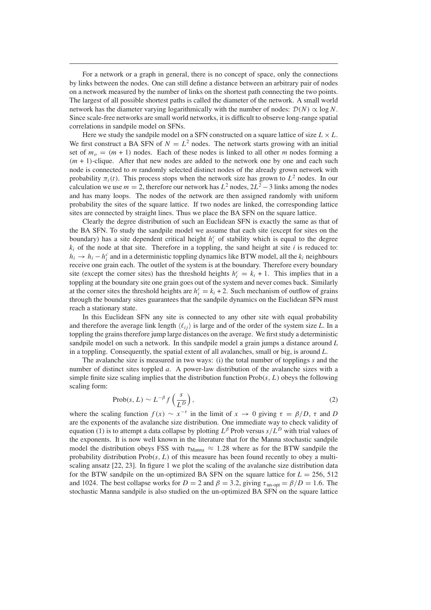For a network or a graph in general, there is no concept of space, only the connections by links between the nodes. One can still define a distance between an arbitrary pair of nodes on a network measured by the number of links on the shortest path connecting the two points. The largest of all possible shortest paths is called the diameter of the network. A small world network has the diameter varying logarithmically with the number of nodes:  $\mathcal{D}(N) \propto \log N$ . Since scale-free networks are small world networks, it is difficult to observe long-range spatial correlations in sandpile model on SFNs.

Here we study the sandpile model on a SFN constructed on a square lattice of size  $L \times L$ . We first construct a BA SFN of  $N = L^2$  nodes. The network starts growing with an initial set of  $m<sub>o</sub> = (m + 1)$  nodes. Each of these nodes is linked to all other *m* nodes forming a *(m* + 1*)*-clique. After that new nodes are added to the network one by one and each such node is connected to *m* randomly selected distinct nodes of the already grown network with probability  $\pi_i(t)$ . This process stops when the network size has grown to  $L^2$  nodes. In our calculation we use  $m = 2$ , therefore our network has  $L^2$  nodes,  $2L^2 - 3$  links among the nodes and has many loops. The nodes of the network are then assigned randomly with uniform probability the sites of the square lattice. If two nodes are linked, the corresponding lattice sites are connected by straight lines. Thus we place the BA SFN on the square lattice.

Clearly the degree distribution of such an Euclidean SFN is exactly the same as that of the BA SFN. To study the sandpile model we assume that each site (except for sites on the boundary) has a site dependent critical height  $h_i^c$  of stability which is equal to the degree  $k_i$  of the node at that site. Therefore in a toppling, the sand height at site  $i$  is reduced to:  $h_i \rightarrow h_i - h_i^c$  and in a deterministic toppling dynamics like BTW model, all the  $k_i$  neighbours receive one grain each. The outlet of the system is at the boundary. Therefore every boundary site (except the corner sites) has the threshold heights  $h_i^c = k_i + 1$ . This implies that in a toppling at the boundary site one grain goes out of the system and never comes back. Similarly at the corner sites the threshold heights are  $h_i^c = k_i + 2$ . Such mechanism of outflow of grains through the boundary sites guarantees that the sandpile dynamics on the Euclidean SFN must reach a stationary state.

In this Euclidean SFN any site is connected to any other site with equal probability and therefore the average link length  $\langle \ell_{ij} \rangle$  is large and of the order of the system size *L*. In a toppling the grains therefore jump large distances on the average. We first study a deterministic sandpile model on such a network. In this sandpile model a grain jumps a distance around *L* in a toppling. Consequently, the spatial extent of all avalanches, small or big, is around *L*.

The avalanche size is measured in two ways: (i) the total number of topplings *s* and the number of distinct sites toppled *a*. A power-law distribution of the avalanche sizes with a simple finite size scaling implies that the distribution function Prob*(s, L)* obeys the following scaling form:

$$
Prob(s, L) \sim L^{-\beta} f\left(\frac{s}{L^D}\right),\tag{2}
$$

where the scaling function  $f(x) \sim x^{-\tau}$  in the limit of  $x \to 0$  giving  $\tau = \beta/D$ ,  $\tau$  and *D* are the exponents of the avalanche size distribution. One immediate way to check validity of equation (1) is to attempt a data collapse by plotting *L<sup>β</sup>* Prob versus *s/L<sup>D</sup>* with trial values of the exponents. It is now well known in the literature that for the Manna stochastic sandpile model the distribution obeys FSS with  $\tau_{\text{Manna}} \approx 1.28$  where as for the BTW sandpile the probability distribution  $Prob(s, L)$  of this measure has been found recently to obey a multiscaling ansatz [22, 23]. In figure 1 we plot the scaling of the avalanche size distribution data for the BTW sandpile on the un-optimized BA SFN on the square lattice for  $L = 256$ , 512 and 1024. The best collapse works for  $D = 2$  and  $\beta = 3.2$ , giving  $\tau_{\text{un-out}} = \beta/D = 1.6$ . The stochastic Manna sandpile is also studied on the un-optimized BA SFN on the square lattice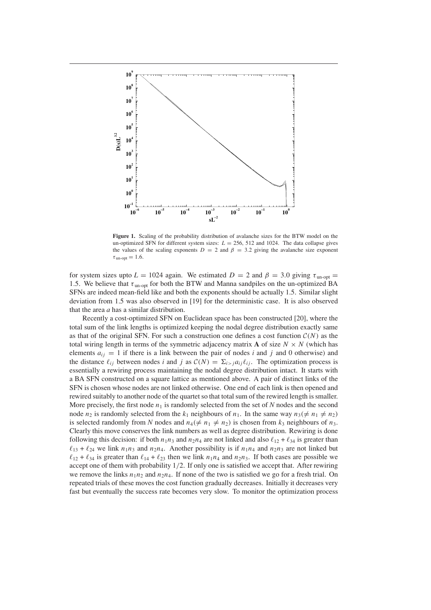

**Figure 1.** Scaling of the probability distribution of avalanche sizes for the BTW model on the un-optimized SFN for different system sizes:  $L = 256, 512$  and 1024. The data collapse gives the values of the scaling exponents  $D = 2$  and  $\beta = 3.2$  giving the avalanche size exponent  $\tau_{\text{un-opt}} = 1.6$ .

for system sizes upto  $L = 1024$  again. We estimated  $D = 2$  and  $\beta = 3.0$  giving  $\tau_{\text{un-opt}} =$ 1*.*5. We believe that *τ* un-opt for both the BTW and Manna sandpiles on the un-optimized BA SFNs are indeed mean-field like and both the exponents should be actually 1.5. Similar slight deviation from 1.5 was also observed in [19] for the deterministic case. It is also observed that the area *a* has a similar distribution.

Recently a cost-optimized SFN on Euclidean space has been constructed [20], where the total sum of the link lengths is optimized keeping the nodal degree distribution exactly same as that of the original SFN. For such a construction one defines a cost function  $C(N)$  as the total wiring length in terms of the symmetric adjacency matrix **A** of size  $N \times N$  (which has elements  $a_{ij} = 1$  if there is a link between the pair of nodes *i* and *j* and 0 otherwise) and the distance  $\ell_{ij}$  between nodes *i* and *j* as  $C(N) = \sum_{i>j} a_{ij} \ell_{ij}$ . The optimization process is essentially a rewiring process maintaining the nodal degree distribution intact. It starts with a BA SFN constructed on a square lattice as mentioned above. A pair of distinct links of the SFN is chosen whose nodes are not linked otherwise. One end of each link is then opened and rewired suitably to another node of the quartet so that total sum of the rewired length is smaller. More precisely, the first node  $n_1$  is randomly selected from the set of  $N$  nodes and the second node  $n_2$  is randomly selected from the  $k_1$  neighbours of  $n_1$ . In the same way  $n_3 \neq n_1 \neq n_2$ is selected randomly from *N* nodes and  $n_4 (\neq n_1 \neq n_2)$  is chosen from  $k_3$  neighbours of  $n_3$ . Clearly this move conserves the link numbers as well as degree distribution. Rewiring is done following this decision: if both  $n_1 n_3$  and  $n_2 n_4$  are not linked and also  $\ell_{12} + \ell_{34}$  is greater than  $\ell_{13} + \ell_{24}$  we link  $n_1n_3$  and  $n_2n_4$ . Another possibility is if  $n_1n_4$  and  $n_2n_3$  are not linked but  $\ell_{12} + \ell_{34}$  is greater than  $\ell_{14} + \ell_{23}$  then we link  $n_1n_4$  and  $n_2n_3$ . If both cases are possible we accept one of them with probability 1*/*2. If only one is satisfied we accept that. After rewiring we remove the links  $n_1n_2$  and  $n_2n_4$ . If none of the two is satisfied we go for a fresh trial. On repeated trials of these moves the cost function gradually decreases. Initially it decreases very fast but eventually the success rate becomes very slow. To monitor the optimization process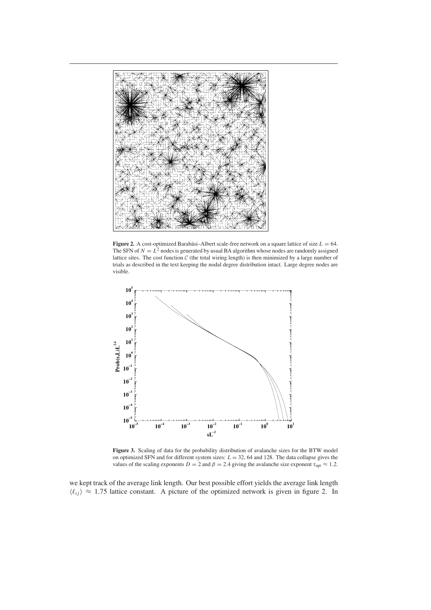

**Figure 2.** A cost-optimized Barabási–Albert scale-free network on a square lattice of size  $L = 64$ . The SFN of  $N = L^2$  nodes is generated by usual BA algorithm whose nodes are randomly assigned lattice sites. The cost function  $C$  (the total wiring length) is then minimized by a large number of trials as described in the text keeping the nodal degree distribution intact. Large degree nodes are visible.



**Figure 3.** Scaling of data for the probability distribution of avalanche sizes for the BTW model on optimized SFN and for different system sizes:  $L = 32$ , 64 and 128. The data collapse gives the values of the scaling exponents  $D = 2$  and  $\beta = 2.4$  giving the avalanche size exponent  $\tau_{opt} \approx 1.2$ .

we kept track of the average link length. Our best possible effort yields the average link length  $\langle \ell_{ii} \rangle \approx 1.75$  lattice constant. A picture of the optimized network is given in figure 2. In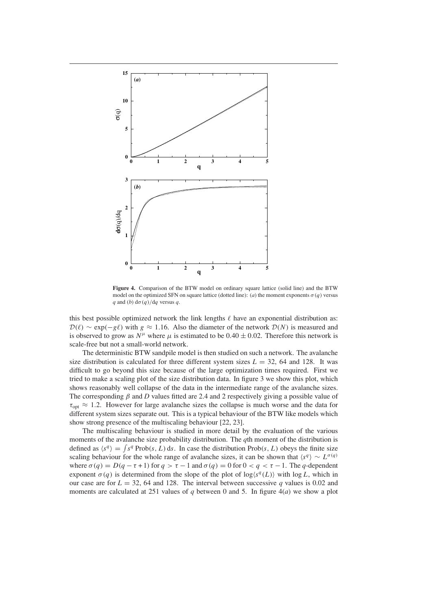

**Figure 4.** Comparison of the BTW model on ordinary square lattice (solid line) and the BTW model on the optimized SFN on square lattice (dotted line): (*a*) the moment exponents  $\sigma(q)$  versus *q* and (*b*)  $d\sigma$  (*a*)/ $d\sigma$  versus *q*.

this best possible optimized network the link lengths  $\ell$  have an exponential distribution as:  $\mathcal{D}(\ell) \sim \exp(-g\ell)$  with  $g \approx 1.16$ . Also the diameter of the network  $\mathcal{D}(N)$  is measured and is observed to grow as  $N^{\mu}$  where  $\mu$  is estimated to be 0.40  $\pm$  0.02. Therefore this network is scale-free but not a small-world network.

The deterministic BTW sandpile model is then studied on such a network. The avalanche size distribution is calculated for three different system sizes  $L = 32$ , 64 and 128. It was difficult to go beyond this size because of the large optimization times required. First we tried to make a scaling plot of the size distribution data. In figure 3 we show this plot, which shows reasonably well collapse of the data in the intermediate range of the avalanche sizes. The corresponding *β* and *D* values fitted are 2.4 and 2 respectively giving a possible value of  $\tau_{\text{opt}} \approx 1.2$ . However for large avalanche sizes the collapse is much worse and the data for different system sizes separate out. This is a typical behaviour of the BTW like models which show strong presence of the multiscaling behaviour [22, 23].

The multiscaling behaviour is studied in more detail by the evaluation of the various moments of the avalanche size probability distribution. The *q*th moment of the distribution is defined as  $\langle s^q \rangle = \int s^q \text{Prob}(s, L) \, ds$ . In case the distribution Prob $(s, L)$  obeys the finite size scaling behaviour for the whole range of avalanche sizes, it can be shown that  $\langle s^q \rangle \sim L^{\sigma(q)}$ where  $\sigma(q) = D(q - \tau + 1)$  for  $q > \tau - 1$  and  $\sigma(q) = 0$  for  $0 < q < \tau - 1$ . The *q*-dependent exponent  $\sigma(q)$  is determined from the slope of the plot of  $\log\langle s^q(L)\rangle$  with  $\log L$ , which in our case are for  $L = 32$ , 64 and 128. The interval between successive q values is 0.02 and moments are calculated at 251 values of *q* between 0 and 5. In figure 4(*a*) we show a plot